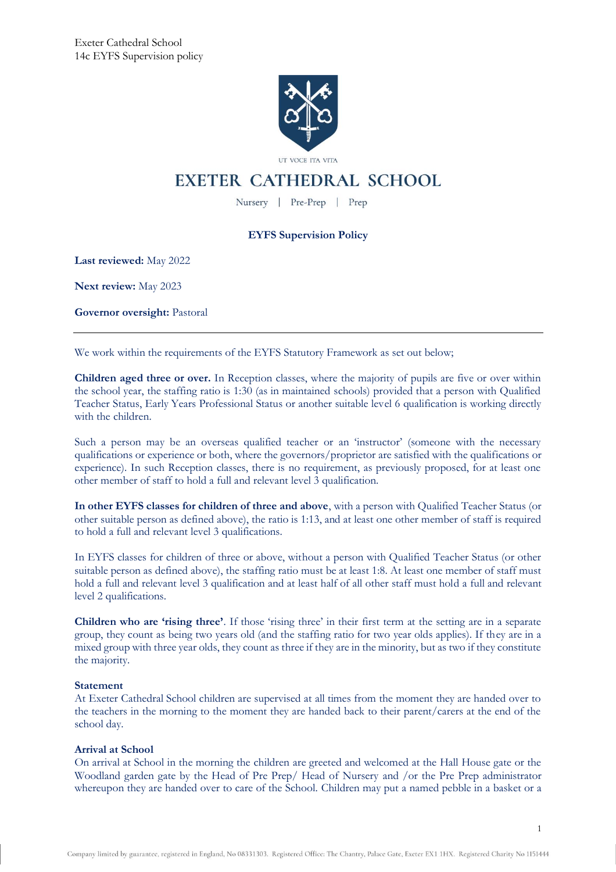

# **EXETER CATHEDRAL SCHOOL**

Nursery | Pre-Prep | Prep

# **EYFS Supervision Policy**

**Last reviewed:** May 2022

**Next review:** May 2023

**Governor oversight:** Pastoral

We work within the requirements of the EYFS Statutory Framework as set out below;

**Children aged three or over.** In Reception classes, where the majority of pupils are five or over within the school year, the staffing ratio is 1:30 (as in maintained schools) provided that a person with Qualified Teacher Status, Early Years Professional Status or another suitable level 6 qualification is working directly with the children.

Such a person may be an overseas qualified teacher or an 'instructor' (someone with the necessary qualifications or experience or both, where the governors/proprietor are satisfied with the qualifications or experience). In such Reception classes, there is no requirement, as previously proposed, for at least one other member of staff to hold a full and relevant level 3 qualification.

**In other EYFS classes for children of three and above**, with a person with Qualified Teacher Status (or other suitable person as defined above), the ratio is 1:13, and at least one other member of staff is required to hold a full and relevant level 3 qualifications.

In EYFS classes for children of three or above, without a person with Qualified Teacher Status (or other suitable person as defined above), the staffing ratio must be at least 1:8. At least one member of staff must hold a full and relevant level 3 qualification and at least half of all other staff must hold a full and relevant level 2 qualifications.

**Children who are 'rising three'**. If those 'rising three' in their first term at the setting are in a separate group, they count as being two years old (and the staffing ratio for two year olds applies). If they are in a mixed group with three year olds, they count as three if they are in the minority, but as two if they constitute the majority.

# **Statement**

At Exeter Cathedral School children are supervised at all times from the moment they are handed over to the teachers in the morning to the moment they are handed back to their parent/carers at the end of the school day.

# **Arrival at School**

On arrival at School in the morning the children are greeted and welcomed at the Hall House gate or the Woodland garden gate by the Head of Pre Prep/ Head of Nursery and /or the Pre Prep administrator whereupon they are handed over to care of the School. Children may put a named pebble in a basket or a